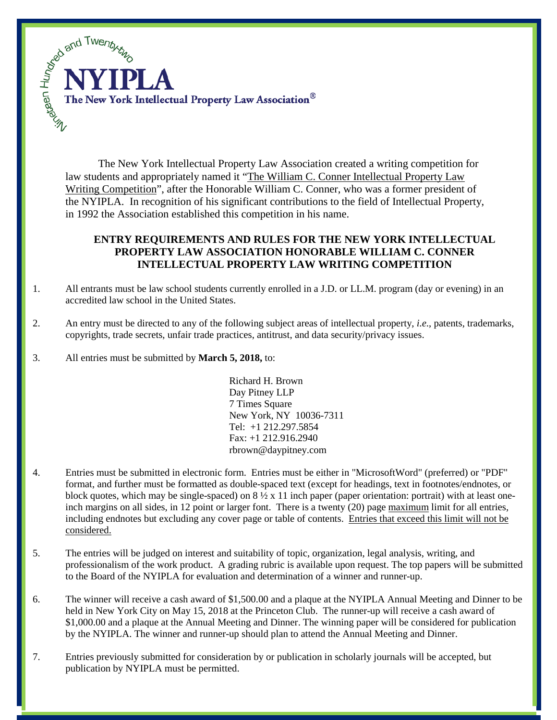

The New York Intellectual Property Law Association created a writing competition for law students and appropriately named it "The William C. Conner Intellectual Property Law Writing Competition", after the Honorable William C. Conner, who was a former president of the NYIPLA. In recognition of his significant contributions to the field of Intellectual Property, in 1992 the Association established this competition in his name.

## **ENTRY REQUIREMENTS AND RULES FOR THE NEW YORK INTELLECTUAL PROPERTY LAW ASSOCIATION HONORABLE WILLIAM C. CONNER INTELLECTUAL PROPERTY LAW WRITING COMPETITION**

- 1. All entrants must be law school students currently enrolled in a J.D. or LL.M. program (day or evening) in an accredited law school in the United States.
- 2. An entry must be directed to any of the following subject areas of intellectual property, *i.e*., patents, trademarks, copyrights, trade secrets, unfair trade practices, antitrust, and data security/privacy issues.
- 3. All entries must be submitted by **March 5, 2018,** to:

Richard H. Brown Day Pitney LLP 7 Times Square New York, NY 10036-7311 Tel: +1 212.297.5854 Fax: +1 212.916.2940 rbrown@daypitney.com

- 4. Entries must be submitted in electronic form. Entries must be either in "MicrosoftWord" (preferred) or "PDF" format, and further must be formatted as double-spaced text (except for headings, text in footnotes/endnotes, or block quotes, which may be single-spaced) on  $8\frac{1}{2}x$  11 inch paper (paper orientation: portrait) with at least oneinch margins on all sides, in 12 point or larger font. There is a twenty (20) page maximum limit for all entries, including endnotes but excluding any cover page or table of contents. Entries that exceed this limit will not be considered.
- 5. The entries will be judged on interest and suitability of topic, organization, legal analysis, writing, and professionalism of the work product. A grading rubric is available upon request. The top papers will be submitted to the Board of the NYIPLA for evaluation and determination of a winner and runner-up.
- 6. The winner will receive a cash award of \$1,500.00 and a plaque at the NYIPLA Annual Meeting and Dinner to be held in New York City on May 15, 2018 at the Princeton Club. The runner-up will receive a cash award of \$1,000.00 and a plaque at the Annual Meeting and Dinner. The winning paper will be considered for publication by the NYIPLA. The winner and runner-up should plan to attend the Annual Meeting and Dinner.
- 7. Entries previously submitted for consideration by or publication in scholarly journals will be accepted, but publication by NYIPLA must be permitted.